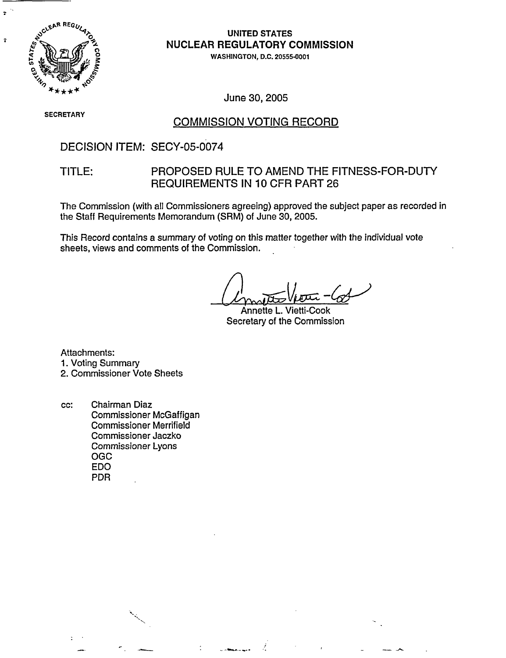

 $\ddot{ }$ 

 $\mathbf{r}$ 

# UNITED STATES NUCLEAR REGULATORY COMMISSION

**0 WASHINGTON, D.C. 20555-0001**

June 30, 2005

# **SECRETARY** COMMISSION VOTING RECORD

### DECISION ITEM: SECY-05-0074

### TITLE: PROPOSED RULE TO AMEND THE FITNESS-FOR-DUTY REQUIREMENTS IN 10 CFR PART 26

The Commission (with all Commissioners agreeing) approved the subject paper as recorded in the Staff Requirements Memorandum (SRM) of June 30, 2005.

This Record contains a summary of voting on this matter together with the individual vote sheets, views and comments of the Commission.

Annette L. Secretary of the Commission

Attachments:

1. Voting Summary

2. Commissioner Vote Sheets

cc: Chairman Diaz Commissioner McGaffigan Commissioner Merrifield Commissioner Jaczko Commissioner Lyons OGC EDO PDR

.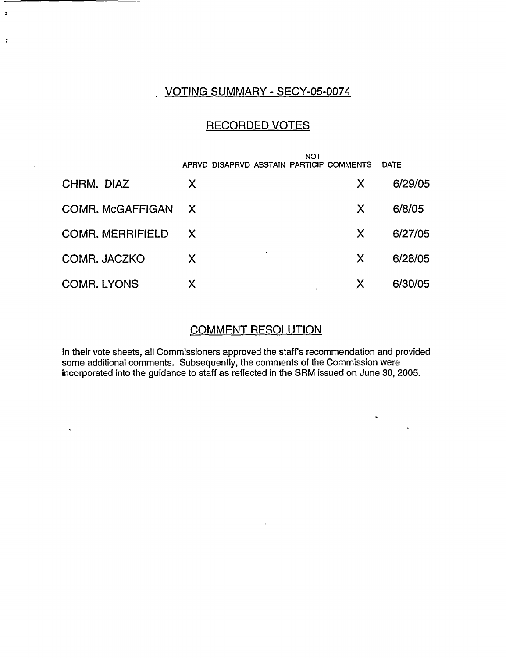## VOTING SUMMARY - SECY-05-0074

 $\ddot{\bullet}$ 

 $\ddot{\phantom{a}}$ 

 $\mathbf{A}^{\mathrm{eff}}$ 

# RECORDED VOTES

|                         | <b>NOT</b>                               |               |
|-------------------------|------------------------------------------|---------------|
|                         | APRVD DISAPRVD ABSTAIN PARTICIP COMMENTS | <b>DATE</b>   |
| CHRM. DIAZ              | X                                        | 6/29/05<br>X. |
| COMR. McGAFFIGAN        | $\mathsf{X}$                             | 6/8/05<br>X   |
| <b>COMR. MERRIFIELD</b> | $\boldsymbol{\mathsf{X}}$                | 6/27/05<br>X  |
| COMR. JACZKO            | X.                                       | 6/28/05<br>X  |
| <b>COMR. LYONS</b>      | Χ                                        | 6/30/05<br>X  |

### COMMENT RESOLUTION

 $\mathcal{L}^{\text{max}}$ 

 $\hat{\mathbf{v}}$ 

 $\ddot{\phantom{a}}$ 

In their vote sheets, all Commissioners approved the staff's recommendation and provided some additional comments. Subsequently, the comments of the Commission were incorporated into the guidance to staff as reflected in the SRM issued on June 30, 2005.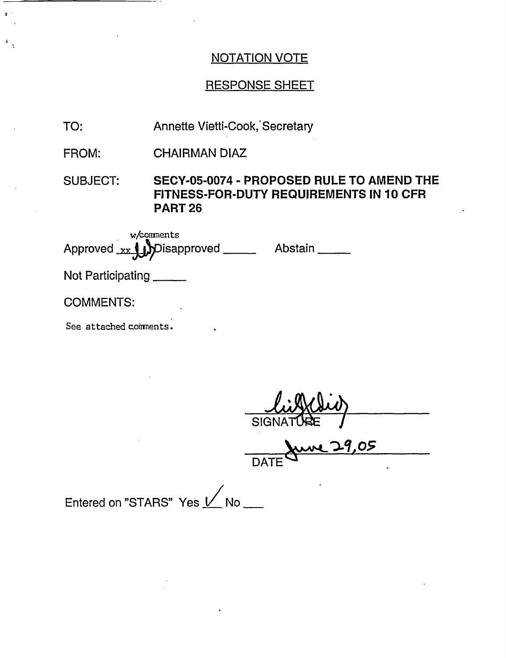## RESPONSE SHEET

- TO: Annette Vietti-Cook, Secretary
- FROM: CHAIRMAN DIAZ

SUBJECT: **SECY-05-0074 - PROPOSED RULE TO AMEND THE FITNESS-FOR-DUTY REQUIREMENTS IN 10 CFR PART 26**

w/comments Approved xx UD Disapproved \_\_\_\_\_\_\_ Abstair

Not Participating

- -

 $\ddot{\phantom{a}}$ 

COMMENTS:

See attached comments.

**SIGN** 

<u>Me 29,05</u> DATE

Entered on "STARS" Yes  $1/$  No \_\_\_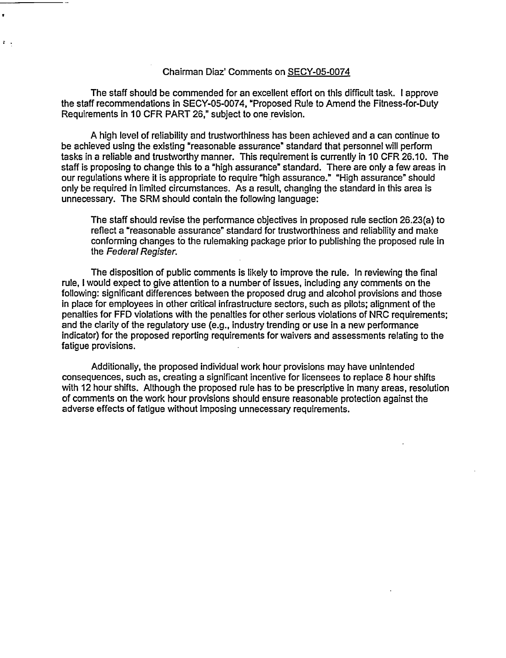#### Chairman Diaz' Comments on SECY-05-0074

 $\mathbf{r}$ 

 $\ddot{\bullet}$ 

The staff should be commended for an excellent effort on this difficult task. I approve the staff recommendations in SECY-05-0074, "Proposed Rule to Amend the Fitness-for-Duty Requirements in 10 CFR PART 26," subject to one revision.

A high level of reliability and trustworthiness has been achieved and a can continue to be achieved using the existing "reasonable assurance" standard that personnel will perform tasks in a reliable and trustworthy manner. This requirement is currently in 10 CFR 26.10. The staff is proposing to change this to a "high assurance" standard. There are only a few areas in our regulations where it is appropriate to require "high assurance." "High assurance" should only be required in limited circumstances. As a result, changing the standard in this area is unnecessary. The SRM should contain the following language:

The staff should revise the performance objectives in proposed rule section 26.23(a) to reflect a "reasonable assurance" standard for trustworthiness and reliability and make conforming changes to the rulemaking package prior to publishing the proposed rule in the *Federal Register.*

The disposition of public comments is likely to improve the rule. In reviewing the final rule, I would expect to give attention to a number of issues, including any comments on the following: significant differences between the proposed drug and alcohol provisions and those in place for employees in other critical infrastructure sectors, such as pilots; alignment of the penalties for FFD violations with the penalties for other serious violations of NRC requirements; and the clarity of the regulatory use (e.g., industry trending or use in a new performance indicator) for the proposed reporting requirements for waivers and assessments relating to the fatigue provisions.

Additionally, the proposed individual work hour provisions may have unintended consequences, such as, creating a significant incentive for licensees to replace 8 hour shifts with 12 hour shifts. Although the proposed rule has to be prescriptive in many areas, resolution of comments on the work hour provisions should ensure reasonable protection against the adverse effects of fatigue without imposing unnecessary requirements.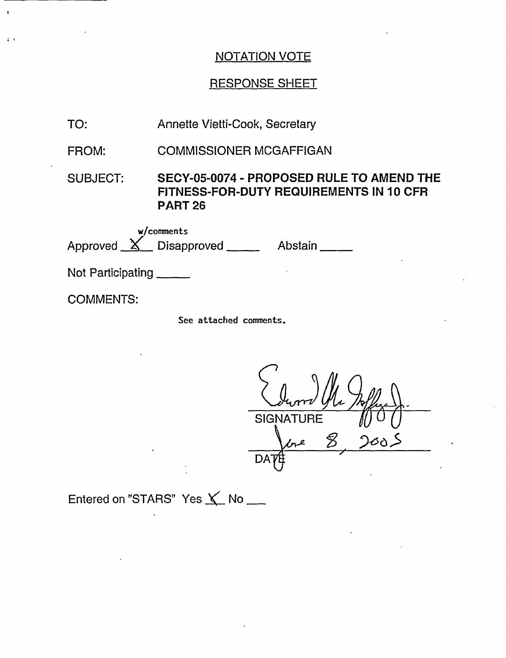# RESPONSE SHEET

| TO:                                                      | Annette Vietti-Cook, Secretary                                                                         |
|----------------------------------------------------------|--------------------------------------------------------------------------------------------------------|
| FROM:                                                    | <b>COMMISSIONER MCGAFFIGAN</b>                                                                         |
| SUBJECT:                                                 | SECY-05-0074 - PROPOSED RULE TO AMEND THE<br>FITNESS-FOR-DUTY REQUIREMENTS IN 10 CFR<br><b>PART 26</b> |
| w/comments<br>Approved $X$ Disapproved ______<br>Abstain |                                                                                                        |
| Not Participating                                        |                                                                                                        |
| <b>COMMENTS:</b>                                         |                                                                                                        |
|                                                          | See attached comments.                                                                                 |

**SIGNATURE**  $\frac{8}{2}$ 2005  $\ell r^{\ell}$ **DAT** 

Entered on "STARS" Yes  $\angle$  No  $\equiv$ 

 $\ddot{\cdot}$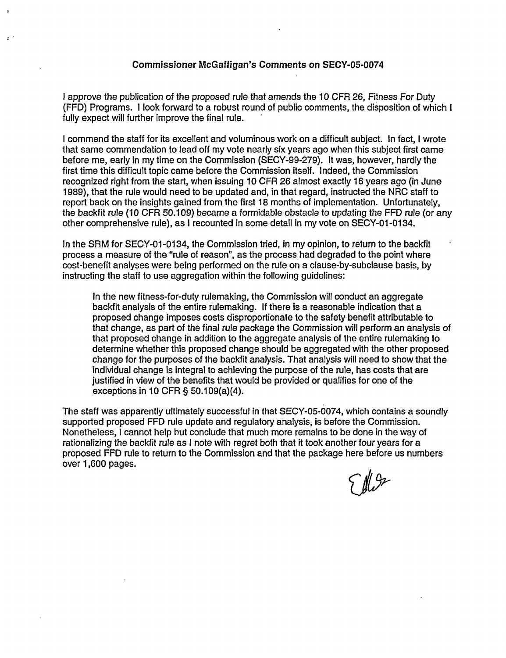#### Commissioner McGaffigan's Comments on **SECY-05-0074**

I approve the publication of the proposed rule that amends the 10 CFR 26, Fitness For Duty (FFD) Programs. I look forward to a robust round of public comments, the disposition of which I fully expect will further improve the final rule.

I commend the staff for its excellent and voluminous work on a difficult subject. In fact, I wrote that same commendation to lead off my vote nearly six years ago when this subject first came before me, early in my time on the Commission (SECY-99-279). It was, however, hardly the first time this difficult topic came before the Commission itself. Indeed, the Commission recognized right from the start, when issuing 10 CFR 26 almost exactly 16 years ago (in June 1989), that the rule would need to be updated and, in that regard, instructed the NRC staff to report back on the insights gained from the first 18 months of implementation. Unfortunately, the backfit rule (10 CFR 50.109) became a formidable obstacle to updating the FFD rule (or any other comprehensive rule), as I recounted in some detail in my vote on SECY-01 -01 34.

In the SRM for SECY-01-0134, the Commission tried, in my opinion, to return to the backfit process a measure of the "rule of reason", as the process had degraded to the point where cost-benefit analyses were being performed on the rule on a clause-by-subolause basis, by instructing the staff to use aggregation within the following guidelines:

In the new fitness-for-duty rulemaking, the Commission will conduct an aggregate backfit analysis of the entire rulemaking. If there is a reasonable indication that a proposed change imposes costs disproportionate to the safety benefit attributable to that change, as part of the final rule package the Commission will perform an analysis of that proposed change in addition to the aggregate analysis of the entire rulemaking to determine whether this proposed change should be aggregated with the other proposed change for the purposes of the backfit analysis. That analysis will need to show that the individual change is integral to achieving the purpose of the rule, has costs that are justified in view of the benefits that would be provided or qualifies for one of the exceptions in 10 CFR § 50.109(a)(4).

The staff was apparently ultimately successful in that SECY-05-0074, which contains a soundly supported proposed FFD rule update and regulatory analysis, is before the Commission. Nonetheless, I cannot help but conclude that much more remains to be done in the way of rationalizing the backfit rule as I note with regret both that it took another four years for a proposed FFD rule to return to the Commission and that the package here before us numbers over 1,600 pages.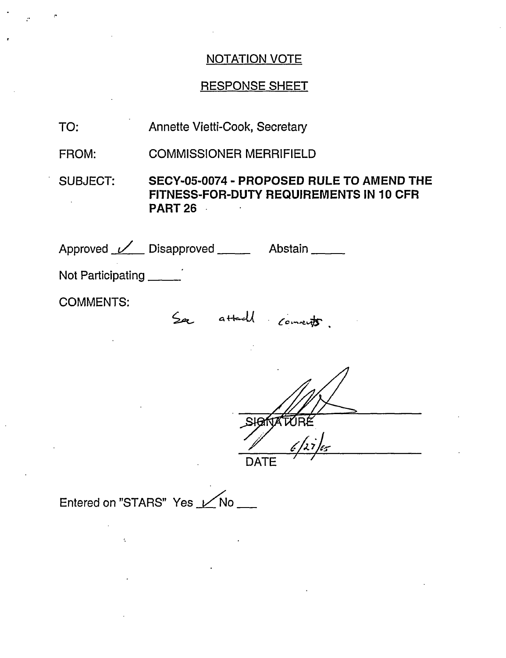## RESPONSE SHEET

- TO: Annette Vietti-Cook, Secretary
- FROM: COMMISSIONER MERRIFIELD

SUBJECT: **SECY-05-0074** - **PROPOSED RULE TO AMEND THE FITNESS-FOR-DUTY REQUIREMENTS IN 10 CFR PART** 26

Approved <u>Machi</u> Disapproved **Communist Abstain** Not Participating COMMENTS: See attach connects

DATE

Entered on "STARS" Yes Mo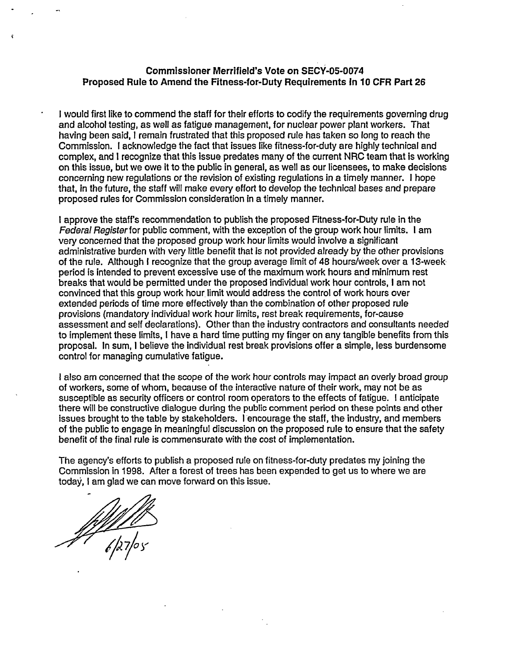#### **Commissioner Merrifield's Vote on SECY-05-0074 Proposed Rule to Amend the Fitness-for-Duty Requirements In 10 CFR Part 26**

I would first like to commend the staff for their efforts to codify the requirements governing drug and alcohol testing, as well as fatigue management, for nuclear power plant workers. That having been said, I remain frustrated that this proposed rule has taken so long to reach the Commission. I acknowledge the fact that issues like fitness-for-duty are highly technical and complex, and I recognize that this issue predates many of the current NRC team that is working on this issue, but we owe it to the public in general, as well as our licensees, to make decisions concerning new regulations or the revision of existing regulations in a timely manner. I hope that, in the future, the staff will make every effort to develop the technical bases and prepare proposed rules for Commission consideration in a timely manner.

I approve the staff's recommendation to publish the proposed Fitness-for-Duty rule in the Federal Register for public comment, with the exception of the group work hour limits. I am very concerned that the proposed group work hour limits would involve a significant administrative burden with very little benefit that is not provided already by the other provisions of the rule. Although I recognize that the group average limit of 48 hours/week over a 13-week period is intended to prevent excessive use of the maximum work hours and minimum rest breaks that would be permitted under the proposed individual work hour controls, I am not convinced that this group work hour limit would address the control of work hours over extended periods of time more effectively than the combination of other proposed rule provisions (mandatory individual work hour limits, rest break requirements, for-cause assessment and self declarations). Other than the industry contractors and consultants needed to implement these limits, I have a hard time putting my finger on any tangible benefits from this proposal. In sum, I believe the individual rest break provisions offer a simple, less burdensome control for managing cumulative fatigue.

I also am concerned that the scope of the work hour controls may impact an overly broad group of workers, some of whom, because of the interactive nature of their work, may not be as susceptible as security officers or control room operators to the effects of fatigue. I anticipate there will be constructive dialogue during the public comment period on these points and other issues brought to the table by stakeholders. I encourage the staff, the industry, and members of the public to engage in meaningful discussion on the proposed rule to ensure that the safety benefit of the final rule is commensurate with the cost of implementation.

The agency's efforts to publish a proposed rule on fitness-for-duty predates my joining the Commission in 1998. After a forest of trees has been expended to get us to where we are today, I am glad we can move forward on this issue.

 $e^{\beta/2}$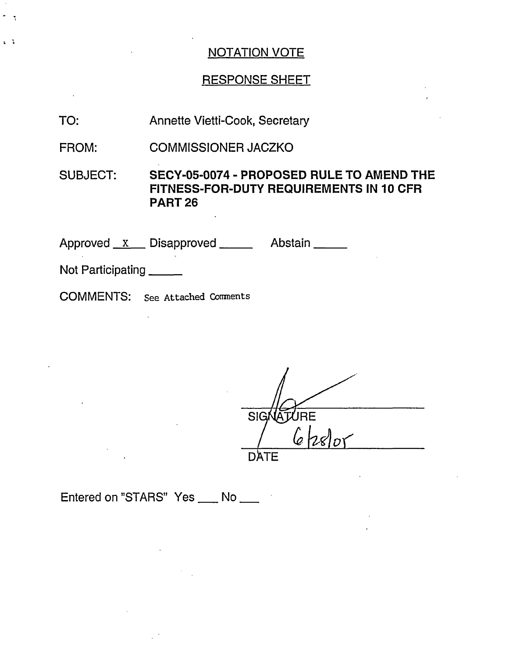# RESPONSE SHEET

- TO: Annette Vietti-Cook, Secretary
- FROM: COMMISSIONER JACZKO

SUBJECT: **SECY-05-0074 - PROPOSED RULE TO AMEND THE FITNESS-FOR-DUTY REQUIREMENTS IN 10 CFR PART 26**

Approved x Disapproved Manuel Abstain

Not Participating \_\_\_\_\_

 $\mathcal{L}_{\mathcal{A}}$ 

 $\mathbf{z}$ 

COMMENTS: See Attached Comments

TURE SIG  $6$  /28/01 **DATE** 

Entered on "STARS" Yes \_\_\_ No \_\_\_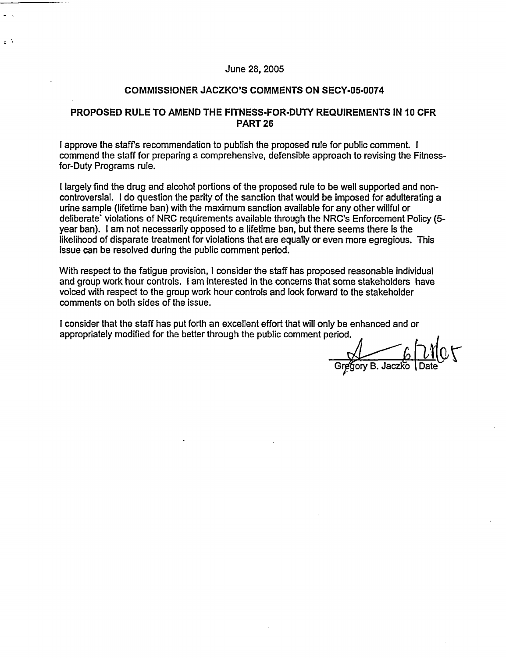#### June 28, 2005

 $\sim$   $^{\circ}$ 

#### **COMMISSIONER JACZKO'S COMMENTS ON SECY-05-0074**

#### **PROPOSED RULE TO AMEND THE FITNESS-FOR-DUTY REQUIREMENTS IN 10 CFR PART 26**

I approve the staff's recommendation to publish the proposed rule for public comment. I commend the staff for preparing a comprehensive, defensible approach to revising the Fitnessfor-Duty Programs rule.

I largely find the drug and alcohol portions of the proposed rule to be well supported and noncontroversial. I do question the parity of the sanction that would be imposed for adulterating a urine sample (lifetime ban) with the maximum sanction available for any other willful or deliberate' violations of NRC requirements available through the NRC's Enforcement Policy (5 year ban). I am not necessarily opposed to a lifetime ban, but there seems there is the likelihood of disparate treatment for violations that are equally or even more egregious. This issue can be resolved during the public comment period.

With respect to the fatigue provision, I consider the staff has proposed reasonable individual and group work hour controls. I am interested in the concerns that some stakeholders have voiced with respect to the group work hour controls and look forward to the stakeholder comments on both sides of the issue.

I consider that the staff has put forth an excellent effort that will only be enhanced and or appropriately modified for the better through the public comment period.

Gregory B. Jaczko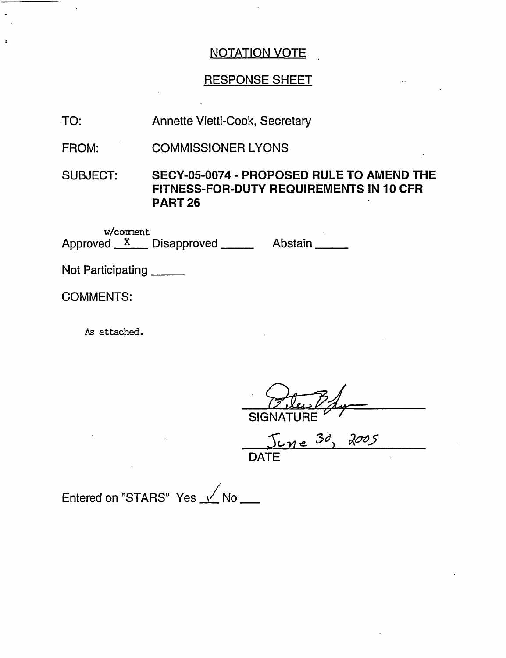## RESPONSE SHEET

| TO: | <b>Annette Vietti-Cook, Secretary</b> |
|-----|---------------------------------------|
|-----|---------------------------------------|

FROM: COMMISSIONER LYONS

SUBJECT: **SECY-05-0074** - **PROPOSED RULE TO AMEND THE FITNESS-FOR-DUTY REQUIREMENTS IN 10 CFR PART** 26

w/comment Approved X Disapproved Abstain

Not Participating

COMMENTS:

As attached.

**SIGNATURE** 

5 c-4le **;3d)** *Rae5* **DATE** 

Entered on "STARS" Yes  $\sqrt{}$  No  $\pm$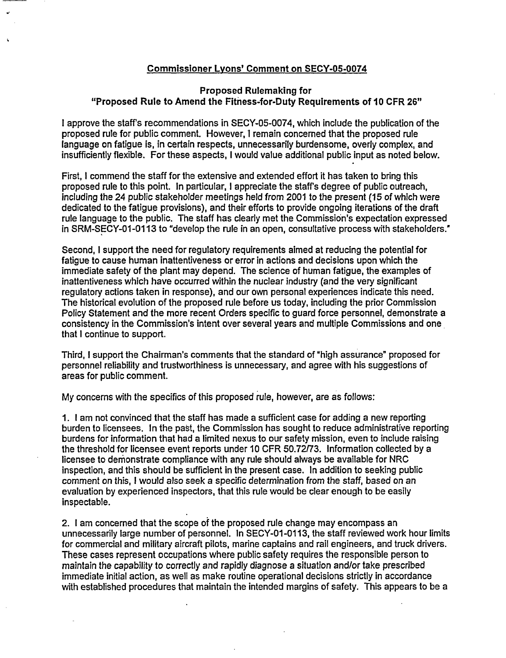#### Commissioner Lvons' Comment on **SECY-05-0074**

#### **Proposed Rulemaking for "Proposed Rule to Amend the Fitness-for-Duty Requirements of 10 CFR 26"**

I approve the staffs recommendations in SECY-05-0074, which include the publication of the proposed rule for public comment. However, I remain concerned that the proposed rule language on fatigue is, in certain respects, unnecessarily burdensome, overly complex, and insufficiently flexible. For these aspects, I would value additional public input as noted below.

First, I commend the staff for the extensive and extended effort it has taken to bring this proposed rule to this point. In particular, I appreciate the staffs degree of public outreach, including the 24 public stakeholder meetings held from 2001 to the present (15 of which were dedicated to the fatigue provisions), and their efforts to provide ongoing iterations of the draft rule language to the public. The staff has clearly met the Commission's expectation expressed in SRM-SECY-01-0113 to "develop the rule in an open, consultative process with stakeholders."

Second, I support the need for regulatory requirements aimed at reducing the potential for fatigue to cause human inattentiveness or error in actions and decisions upon which the immediate safety of the plant may depend. The science of human fatigue, the examples of inattentiveness which have occurred within the nuclear industry (and the very significant regulatory actions taken in response), and our own personal experiences indicate this need. The historical evolution of the proposed rule before us today, including the prior Commission Policy Statement and the more recent Orders specific to guard force personnel, demonstrate a consistency in the Commission's intent over several years and multiple Commissions and one that I continue to support.

Third, I support the Chairman's comments that the standard of 'high assurance" proposed for personnel reliability and trustworthiness is unnecessary, and agree with his suggestions of areas for public comment.

My concerns with the specifics of this proposed rule, however, are as follows:

1. I am not convinced that the staff has made a sufficient case for adding a new reporting burden to licensees. In the past, the Commission has sought to reduce administrative reporting burdens for information that had a limited nexus to our safety mission, even to include raising the threshold for licensee event reports under 10 CFR 50.72/73. Information collected by a licensee to demonstrate compliance with any rule should always be available for NRC inspection, and this should be sufficient in the present case. In addition to seeking public comment on this, I would also seek a specific determination from the staff, based on an evaluation by experienced inspectors, that this rule would be clear enough to be easily inspectable.

2. I am concerned that the scope of the proposed rule change may encompass an unnecessarily large number of personnel. In SECY-01 -0113, the staff reviewed work hour limits for commercial and military aircraft pilots, marine captains and rail engineers, and truck drivers. These cases represent occupations where public safety requires the responsible person to maintain the capability to correctly and rapidly diagnose a situation and/or take prescribed immediate initial action, as well as make routine operational decisions strictly in accordance with established procedures that maintain the intended margins of safety. This appears to be a